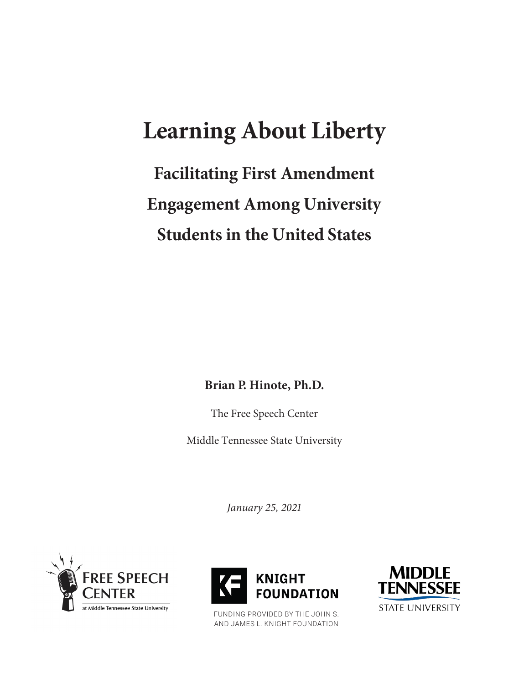# **Learning About Liberty**

**Facilitating First Amendment Engagement Among University Students in the United States**

**Brian P. Hinote, Ph.D.**

The Free Speech Center

Middle Tennessee State University

*January 25, 2021*





FUNDING PROVIDED BY THE JOHN S. AND JAMES L. KNIGHT FOUNDATION

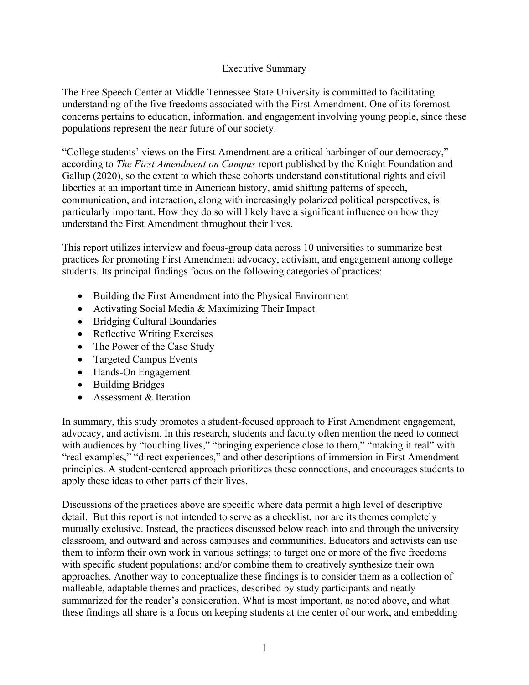## Executive Summary

The Free Speech Center at Middle Tennessee State University is committed to facilitating understanding of the five freedoms associated with the First Amendment. One of its foremost concerns pertains to education, information, and engagement involving young people, since these populations represent the near future of our society.

"College students' views on the First Amendment are a critical harbinger of our democracy," according to *The First Amendment on Campus* report published by the Knight Foundation and Gallup (2020), so the extent to which these cohorts understand constitutional rights and civil liberties at an important time in American history, amid shifting patterns of speech, communication, and interaction, along with increasingly polarized political perspectives, is particularly important. How they do so will likely have a significant influence on how they understand the First Amendment throughout their lives.

This report utilizes interview and focus-group data across 10 universities to summarize best practices for promoting First Amendment advocacy, activism, and engagement among college students. Its principal findings focus on the following categories of practices:

- Building the First Amendment into the Physical Environment
- Activating Social Media & Maximizing Their Impact
- Bridging Cultural Boundaries
- Reflective Writing Exercises
- The Power of the Case Study
- Targeted Campus Events
- Hands-On Engagement
- Building Bridges
- Assessment & Iteration

In summary, this study promotes a student-focused approach to First Amendment engagement, advocacy, and activism. In this research, students and faculty often mention the need to connect with audiences by "touching lives," "bringing experience close to them," "making it real" with "real examples," "direct experiences," and other descriptions of immersion in First Amendment principles. A student-centered approach prioritizes these connections, and encourages students to apply these ideas to other parts of their lives.

Discussions of the practices above are specific where data permit a high level of descriptive detail. But this report is not intended to serve as a checklist, nor are its themes completely mutually exclusive. Instead, the practices discussed below reach into and through the university classroom, and outward and across campuses and communities. Educators and activists can use them to inform their own work in various settings; to target one or more of the five freedoms with specific student populations; and/or combine them to creatively synthesize their own approaches. Another way to conceptualize these findings is to consider them as a collection of malleable, adaptable themes and practices, described by study participants and neatly summarized for the reader's consideration. What is most important, as noted above, and what these findings all share is a focus on keeping students at the center of our work, and embedding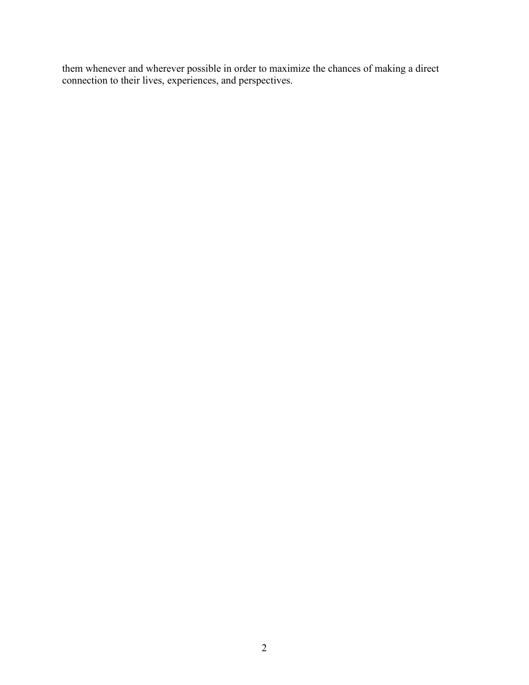them whenever and wherever possible in order to maximize the chances of making a direct connection to their lives, experiences, and perspectives.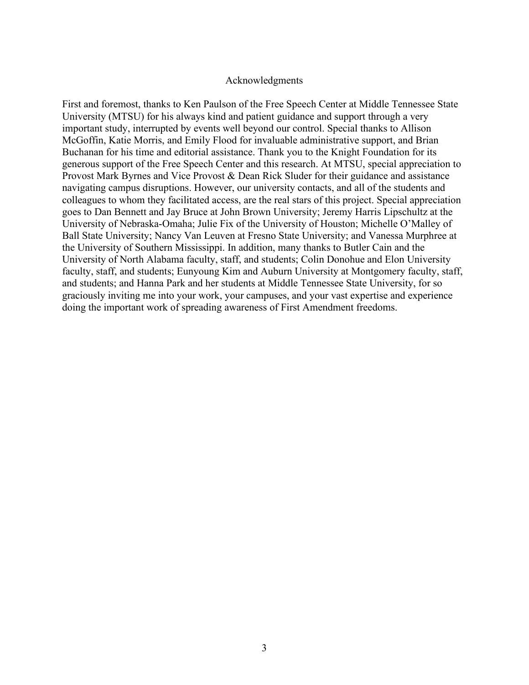#### Acknowledgments

First and foremost, thanks to Ken Paulson of the Free Speech Center at Middle Tennessee State University (MTSU) for his always kind and patient guidance and support through a very important study, interrupted by events well beyond our control. Special thanks to Allison McGoffin, Katie Morris, and Emily Flood for invaluable administrative support, and Brian Buchanan for his time and editorial assistance. Thank you to the Knight Foundation for its generous support of the Free Speech Center and this research. At MTSU, special appreciation to Provost Mark Byrnes and Vice Provost & Dean Rick Sluder for their guidance and assistance navigating campus disruptions. However, our university contacts, and all of the students and colleagues to whom they facilitated access, are the real stars of this project. Special appreciation goes to Dan Bennett and Jay Bruce at John Brown University; Jeremy Harris Lipschultz at the University of Nebraska-Omaha; Julie Fix of the University of Houston; Michelle O'Malley of Ball State University; Nancy Van Leuven at Fresno State University; and Vanessa Murphree at the University of Southern Mississippi. In addition, many thanks to Butler Cain and the University of North Alabama faculty, staff, and students; Colin Donohue and Elon University faculty, staff, and students; Eunyoung Kim and Auburn University at Montgomery faculty, staff, and students; and Hanna Park and her students at Middle Tennessee State University, for so graciously inviting me into your work, your campuses, and your vast expertise and experience doing the important work of spreading awareness of First Amendment freedoms.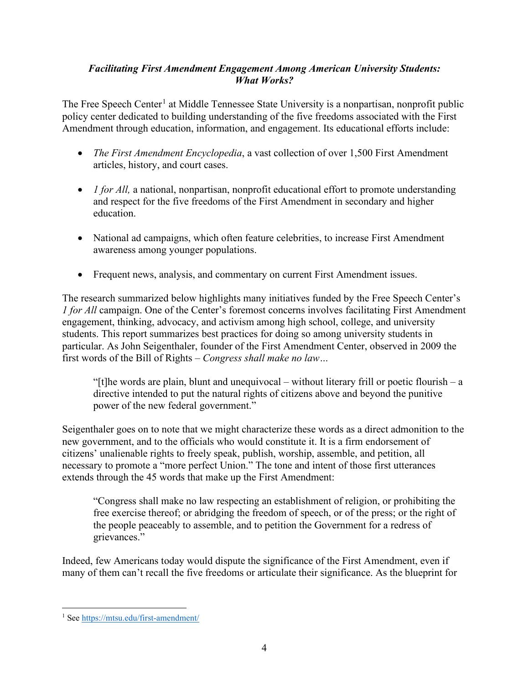# *Facilitating First Amendment Engagement Among American University Students: What Works?*

The Free Speech Center<sup>[1](#page-4-0)</sup> at Middle Tennessee State University is a nonpartisan, nonprofit public policy center dedicated to building understanding of the five freedoms associated with the First Amendment through education, information, and engagement. Its educational efforts include:

- *The First Amendment Encyclopedia*, a vast collection of over 1,500 First Amendment articles, history, and court cases.
- *1 for All,* a national, nonpartisan, nonprofit educational effort to promote understanding and respect for the five freedoms of the First Amendment in secondary and higher education.
- National ad campaigns, which often feature celebrities, to increase First Amendment awareness among younger populations.
- Frequent news, analysis, and commentary on current First Amendment issues.

The research summarized below highlights many initiatives funded by the Free Speech Center's *1 for All* campaign. One of the Center's foremost concerns involves facilitating First Amendment engagement, thinking, advocacy, and activism among high school, college, and university students. This report summarizes best practices for doing so among university students in particular. As John Seigenthaler, founder of the First Amendment Center, observed in 2009 the first words of the Bill of Rights – *Congress shall make no law…* 

"[t]he words are plain, blunt and unequivocal – without literary frill or poetic flourish – a directive intended to put the natural rights of citizens above and beyond the punitive power of the new federal government."

Seigenthaler goes on to note that we might characterize these words as a direct admonition to the new government, and to the officials who would constitute it. It is a firm endorsement of citizens' unalienable rights to freely speak, publish, worship, assemble, and petition, all necessary to promote a "more perfect Union." The tone and intent of those first utterances extends through the 45 words that make up the First Amendment:

"Congress shall make no law respecting an establishment of religion, or prohibiting the free exercise thereof; or abridging the freedom of speech, or of the press; or the right of the people peaceably to assemble, and to petition the Government for a redress of grievances."

Indeed, few Americans today would dispute the significance of the First Amendment, even if many of them can't recall the five freedoms or articulate their significance. As the blueprint for

<span id="page-4-0"></span><sup>1</sup> Se[e https://mtsu.edu/first-amendment/](https://mtsu.edu/first-amendment/)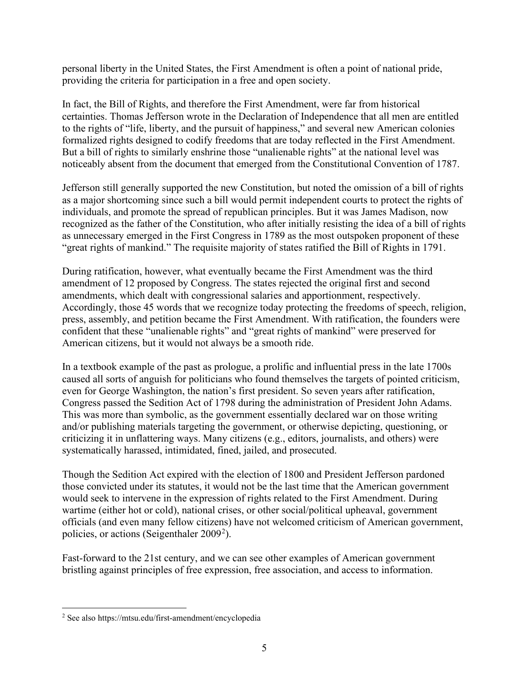personal liberty in the United States, the First Amendment is often a point of national pride, providing the criteria for participation in a free and open society.

In fact, the Bill of Rights, and therefore the First Amendment, were far from historical certainties. Thomas Jefferson wrote in the Declaration of Independence that all men are entitled to the rights of "life, liberty, and the pursuit of happiness," and several new American colonies formalized rights designed to codify freedoms that are today reflected in the First Amendment. But a bill of rights to similarly enshrine those "unalienable rights" at the national level was noticeably absent from the document that emerged from the Constitutional Convention of 1787.

Jefferson still generally supported the new Constitution, but noted the omission of a bill of rights as a major shortcoming since such a bill would permit independent courts to protect the rights of individuals, and promote the spread of republican principles. But it was James Madison, now recognized as the father of the Constitution, who after initially resisting the idea of a bill of rights as unnecessary emerged in the First Congress in 1789 as the most outspoken proponent of these "great rights of mankind." The requisite majority of states ratified the Bill of Rights in 1791.

During ratification, however, what eventually became the First Amendment was the third amendment of 12 proposed by Congress. The states rejected the original first and second amendments, which dealt with congressional salaries and apportionment, respectively. Accordingly, those 45 words that we recognize today protecting the freedoms of speech, religion, press, assembly, and petition became the First Amendment. With ratification, the founders were confident that these "unalienable rights" and "great rights of mankind" were preserved for American citizens, but it would not always be a smooth ride.

In a textbook example of the past as prologue, a prolific and influential press in the late 1700s caused all sorts of anguish for politicians who found themselves the targets of pointed criticism, even for George Washington, the nation's first president. So seven years after ratification, Congress passed the Sedition Act of 1798 during the administration of President John Adams. This was more than symbolic, as the government essentially declared war on those writing and/or publishing materials targeting the government, or otherwise depicting, questioning, or criticizing it in unflattering ways. Many citizens (e.g., editors, journalists, and others) were systematically harassed, intimidated, fined, jailed, and prosecuted.

Though the Sedition Act expired with the election of 1800 and President Jefferson pardoned those convicted under its statutes, it would not be the last time that the American government would seek to intervene in the expression of rights related to the First Amendment. During wartime (either hot or cold), national crises, or other social/political upheaval, government officials (and even many fellow citizens) have not welcomed criticism of American government, policies, or actions (Seigenthaler  $2009^2$  $2009^2$ ).

Fast-forward to the 21st century, and we can see other examples of American government bristling against principles of free expression, free association, and access to information.

<span id="page-5-0"></span><sup>2</sup> See also https://mtsu.edu/first-amendment/encyclopedia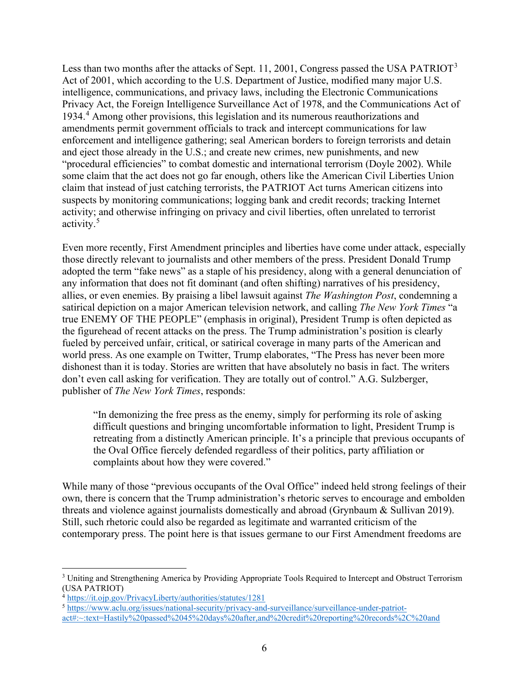Less than two months after the attacks of Sept. 11, 2001, Congress passed the USA PATRIOT<sup>[3](#page-6-0)</sup> Act of 2001, which according to the U.S. Department of Justice, modified many major U.S. intelligence, communications, and privacy laws, including the Electronic Communications Privacy Act, the Foreign Intelligence Surveillance Act of 1978, and the Communications Act of 1934.[4](#page-6-1) Among other provisions, this legislation and its numerous reauthorizations and amendments permit government officials to track and intercept communications for law enforcement and intelligence gathering; seal American borders to foreign terrorists and detain and eject those already in the U.S.; and create new crimes, new punishments, and new "procedural efficiencies" to combat domestic and international terrorism (Doyle 2002). While some claim that the act does not go far enough, others like the American Civil Liberties Union claim that instead of just catching terrorists, the PATRIOT Act turns American citizens into suspects by monitoring communications; logging bank and credit records; tracking Internet activity; and otherwise infringing on privacy and civil liberties, often unrelated to terrorist activity.[5](#page-6-2)

Even more recently, First Amendment principles and liberties have come under attack, especially those directly relevant to journalists and other members of the press. President Donald Trump adopted the term "fake news" as a staple of his presidency, along with a general denunciation of any information that does not fit dominant (and often shifting) narratives of his presidency, allies, or even enemies. By praising a libel lawsuit against *The Washington Post*, condemning a satirical depiction on a major American television network, and calling *The New York Times* "a true ENEMY OF THE PEOPLE" (emphasis in original), President Trump is often depicted as the figurehead of recent attacks on the press. The Trump administration's position is clearly fueled by perceived unfair, critical, or satirical coverage in many parts of the American and world press. As one example on Twitter, Trump elaborates, "The Press has never been more dishonest than it is today. Stories are written that have absolutely no basis in fact. The writers don't even call asking for verification. They are totally out of control." A.G. Sulzberger, publisher of *The New York Times*, responds:

"In demonizing the free press as the enemy, simply for performing its role of asking difficult questions and bringing uncomfortable information to light, President Trump is retreating from a distinctly American principle. It's a principle that previous occupants of the Oval Office fiercely defended regardless of their politics, party affiliation or complaints about how they were covered."

While many of those "previous occupants of the Oval Office" indeed held strong feelings of their own, there is concern that the Trump administration's rhetoric serves to encourage and embolden threats and violence against journalists domestically and abroad (Grynbaum & Sullivan 2019). Still, such rhetoric could also be regarded as legitimate and warranted criticism of the contemporary press. The point here is that issues germane to our First Amendment freedoms are

<span id="page-6-0"></span><sup>&</sup>lt;sup>3</sup> Uniting and Strengthening America by Providing Appropriate Tools Required to Intercept and Obstruct Terrorism (USA PATRIOT)

<span id="page-6-1"></span><sup>4</sup> <https://it.ojp.gov/PrivacyLiberty/authorities/statutes/1281>

<span id="page-6-2"></span><sup>5</sup> [https://www.aclu.org/issues/national-security/privacy-and-surveillance/surveillance-under-patriot-](https://www.aclu.org/issues/national-security/privacy-and-surveillance/surveillance-under-patriot-act#:%7E:text=Hastily%20passed%2045%20days%20after,and%20credit%20reporting%20records%2C%20and)

[act#:~:text=Hastily%20passed%2045%20days%20after,and%20credit%20reporting%20records%2C%20and](https://www.aclu.org/issues/national-security/privacy-and-surveillance/surveillance-under-patriot-act#:%7E:text=Hastily%20passed%2045%20days%20after,and%20credit%20reporting%20records%2C%20and)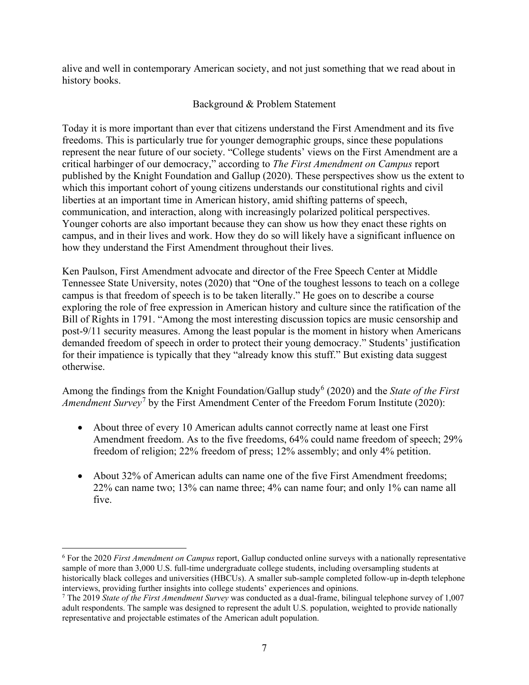alive and well in contemporary American society, and not just something that we read about in history books.

# Background & Problem Statement

Today it is more important than ever that citizens understand the First Amendment and its five freedoms. This is particularly true for younger demographic groups, since these populations represent the near future of our society. "College students' views on the First Amendment are a critical harbinger of our democracy," according to *The First Amendment on Campus* report published by the Knight Foundation and Gallup (2020). These perspectives show us the extent to which this important cohort of young citizens understands our constitutional rights and civil liberties at an important time in American history, amid shifting patterns of speech, communication, and interaction, along with increasingly polarized political perspectives. Younger cohorts are also important because they can show us how they enact these rights on campus, and in their lives and work. How they do so will likely have a significant influence on how they understand the First Amendment throughout their lives.

Ken Paulson, First Amendment advocate and director of the Free Speech Center at Middle Tennessee State University, notes (2020) that "One of the toughest lessons to teach on a college campus is that freedom of speech is to be taken literally." He goes on to describe a course exploring the role of free expression in American history and culture since the ratification of the Bill of Rights in 1791. "Among the most interesting discussion topics are music censorship and post-9/11 security measures. Among the least popular is the moment in history when Americans demanded freedom of speech in order to protect their young democracy." Students' justification for their impatience is typically that they "already know this stuff." But existing data suggest otherwise.

Among the findings from the Knight Foundation/Gallup study<sup>[6](#page-7-0)</sup> (2020) and the *State of the First Amendment Survey*<sup>[7](#page-7-1)</sup> by the First Amendment Center of the Freedom Forum Institute (2020):

- About three of every 10 American adults cannot correctly name at least one First Amendment freedom. As to the five freedoms, 64% could name freedom of speech; 29% freedom of religion; 22% freedom of press; 12% assembly; and only 4% petition.
- About 32% of American adults can name one of the five First Amendment freedoms; 22% can name two; 13% can name three; 4% can name four; and only 1% can name all five.

<span id="page-7-0"></span><sup>6</sup> For the 2020 *First Amendment on Campus* report, Gallup conducted online surveys with a nationally representative sample of more than 3,000 U.S. full-time undergraduate college students, including oversampling students at historically black colleges and universities (HBCUs). A smaller sub-sample completed follow-up in-depth telephone interviews, providing further insights into college students' experiences and opinions.

<span id="page-7-1"></span><sup>7</sup> The 2019 *State of the First Amendment Survey* was conducted as a dual-frame, bilingual telephone survey of 1,007 adult respondents. The sample was designed to represent the adult U.S. population, weighted to provide nationally representative and projectable estimates of the American adult population.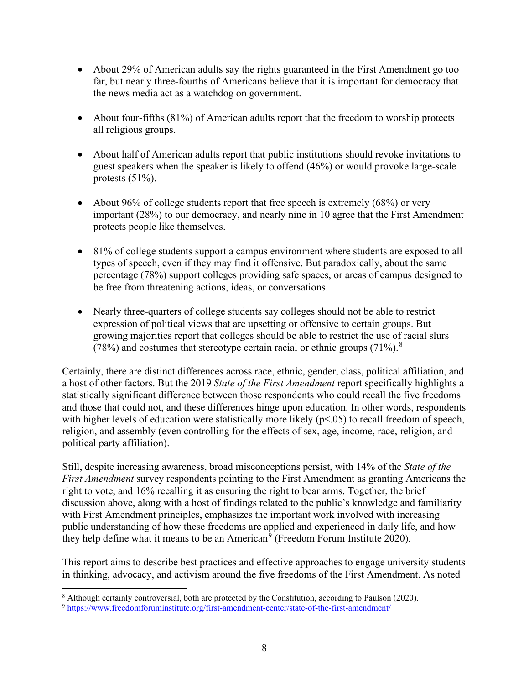- About 29% of American adults say the rights guaranteed in the First Amendment go too far, but nearly three-fourths of Americans believe that it is important for democracy that the news media act as a watchdog on government.
- About four-fifths (81%) of American adults report that the freedom to worship protects all religious groups.
- About half of American adults report that public institutions should revoke invitations to guest speakers when the speaker is likely to offend (46%) or would provoke large-scale protests  $(51\%)$ .
- About 96% of college students report that free speech is extremely (68%) or very important (28%) to our democracy, and nearly nine in 10 agree that the First Amendment protects people like themselves.
- 81% of college students support a campus environment where students are exposed to all types of speech, even if they may find it offensive. But paradoxically, about the same percentage (78%) support colleges providing safe spaces, or areas of campus designed to be free from threatening actions, ideas, or conversations.
- Nearly three-quarters of college students say colleges should not be able to restrict expression of political views that are upsetting or offensive to certain groups. But growing majorities report that colleges should be able to restrict the use of racial slurs (7[8](#page-8-0)%) and costumes that stereotype certain racial or ethnic groups (71%).<sup>8</sup>

Certainly, there are distinct differences across race, ethnic, gender, class, political affiliation, and a host of other factors. But the 2019 *State of the First Amendment* report specifically highlights a statistically significant difference between those respondents who could recall the five freedoms and those that could not, and these differences hinge upon education. In other words, respondents with higher levels of education were statistically more likely  $(p<0.05)$  to recall freedom of speech, religion, and assembly (even controlling for the effects of sex, age, income, race, religion, and political party affiliation).

Still, despite increasing awareness, broad misconceptions persist, with 14% of the *State of the First Amendment* survey respondents pointing to the First Amendment as granting Americans the right to vote, and 16% recalling it as ensuring the right to bear arms. Together, the brief discussion above, along with a host of findings related to the public's knowledge and familiarity with First Amendment principles, emphasizes the important work involved with increasing public understanding of how these freedoms are applied and experienced in daily life, and how they help define what it means to be an American<sup>[9](#page-8-1)</sup> (Freedom Forum Institute 2020).

This report aims to describe best practices and effective approaches to engage university students in thinking, advocacy, and activism around the five freedoms of the First Amendment. As noted

<span id="page-8-0"></span><sup>8</sup> Although certainly controversial, both are protected by the Constitution, according to Paulson (2020).

<span id="page-8-1"></span><sup>9</sup> <https://www.freedomforuminstitute.org/first-amendment-center/state-of-the-first-amendment/>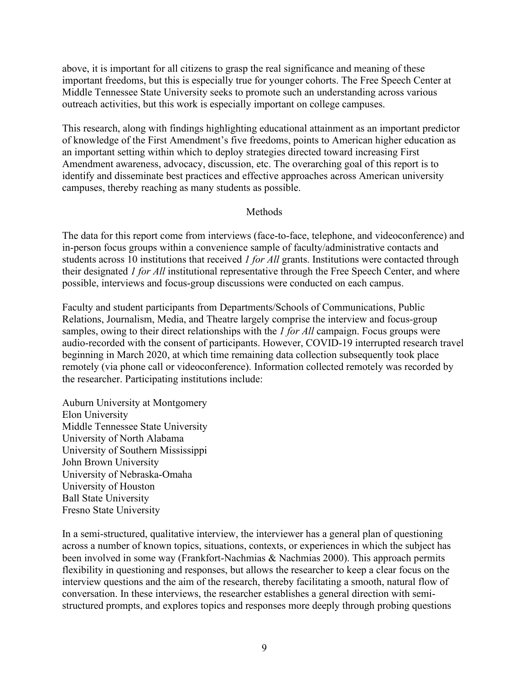above, it is important for all citizens to grasp the real significance and meaning of these important freedoms, but this is especially true for younger cohorts. The Free Speech Center at Middle Tennessee State University seeks to promote such an understanding across various outreach activities, but this work is especially important on college campuses.

This research, along with findings highlighting educational attainment as an important predictor of knowledge of the First Amendment's five freedoms, points to American higher education as an important setting within which to deploy strategies directed toward increasing First Amendment awareness, advocacy, discussion, etc. The overarching goal of this report is to identify and disseminate best practices and effective approaches across American university campuses, thereby reaching as many students as possible.

#### Methods

The data for this report come from interviews (face-to-face, telephone, and videoconference) and in-person focus groups within a convenience sample of faculty/administrative contacts and students across 10 institutions that received *1 for All* grants. Institutions were contacted through their designated *1 for All* institutional representative through the Free Speech Center, and where possible, interviews and focus-group discussions were conducted on each campus.

Faculty and student participants from Departments/Schools of Communications, Public Relations, Journalism, Media, and Theatre largely comprise the interview and focus-group samples, owing to their direct relationships with the *1 for All* campaign. Focus groups were audio-recorded with the consent of participants. However, COVID-19 interrupted research travel beginning in March 2020, at which time remaining data collection subsequently took place remotely (via phone call or videoconference). Information collected remotely was recorded by the researcher. Participating institutions include:

Auburn University at Montgomery Elon University Middle Tennessee State University University of North Alabama University of Southern Mississippi John Brown University University of Nebraska-Omaha University of Houston Ball State University Fresno State University

In a semi-structured, qualitative interview, the interviewer has a general plan of questioning across a number of known topics, situations, contexts, or experiences in which the subject has been involved in some way (Frankfort-Nachmias & Nachmias 2000). This approach permits flexibility in questioning and responses, but allows the researcher to keep a clear focus on the interview questions and the aim of the research, thereby facilitating a smooth, natural flow of conversation. In these interviews, the researcher establishes a general direction with semistructured prompts, and explores topics and responses more deeply through probing questions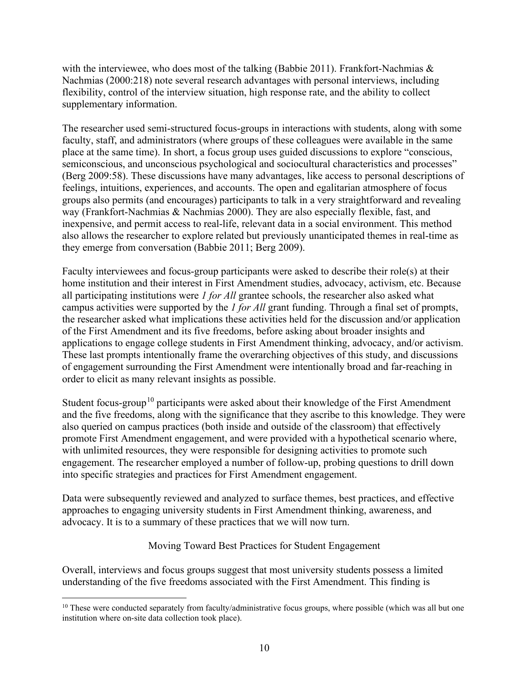with the interviewee, who does most of the talking (Babbie 2011). Frankfort-Nachmias  $\&$ Nachmias (2000:218) note several research advantages with personal interviews, including flexibility, control of the interview situation, high response rate, and the ability to collect supplementary information.

The researcher used semi-structured focus-groups in interactions with students, along with some faculty, staff, and administrators (where groups of these colleagues were available in the same place at the same time). In short, a focus group uses guided discussions to explore "conscious, semiconscious, and unconscious psychological and sociocultural characteristics and processes" (Berg 2009:58). These discussions have many advantages, like access to personal descriptions of feelings, intuitions, experiences, and accounts. The open and egalitarian atmosphere of focus groups also permits (and encourages) participants to talk in a very straightforward and revealing way (Frankfort-Nachmias & Nachmias 2000). They are also especially flexible, fast, and inexpensive, and permit access to real-life, relevant data in a social environment. This method also allows the researcher to explore related but previously unanticipated themes in real-time as they emerge from conversation (Babbie 2011; Berg 2009).

Faculty interviewees and focus-group participants were asked to describe their role(s) at their home institution and their interest in First Amendment studies, advocacy, activism, etc. Because all participating institutions were *1 for All* grantee schools, the researcher also asked what campus activities were supported by the *1 for All* grant funding. Through a final set of prompts, the researcher asked what implications these activities held for the discussion and/or application of the First Amendment and its five freedoms, before asking about broader insights and applications to engage college students in First Amendment thinking, advocacy, and/or activism. These last prompts intentionally frame the overarching objectives of this study, and discussions of engagement surrounding the First Amendment were intentionally broad and far-reaching in order to elicit as many relevant insights as possible.

Student focus-group<sup>[10](#page-10-0)</sup> participants were asked about their knowledge of the First Amendment and the five freedoms, along with the significance that they ascribe to this knowledge. They were also queried on campus practices (both inside and outside of the classroom) that effectively promote First Amendment engagement, and were provided with a hypothetical scenario where, with unlimited resources, they were responsible for designing activities to promote such engagement. The researcher employed a number of follow-up, probing questions to drill down into specific strategies and practices for First Amendment engagement.

Data were subsequently reviewed and analyzed to surface themes, best practices, and effective approaches to engaging university students in First Amendment thinking, awareness, and advocacy. It is to a summary of these practices that we will now turn.

Moving Toward Best Practices for Student Engagement

Overall, interviews and focus groups suggest that most university students possess a limited understanding of the five freedoms associated with the First Amendment. This finding is

<span id="page-10-0"></span> $10$  These were conducted separately from faculty/administrative focus groups, where possible (which was all but one institution where on-site data collection took place).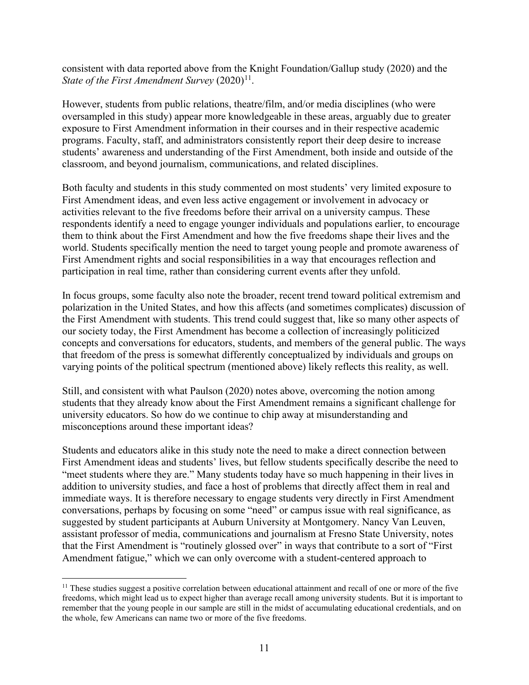consistent with data reported above from the Knight Foundation/Gallup study (2020) and the *State of the First Amendment Survey*  $(2020)^{11}$  $(2020)^{11}$  $(2020)^{11}$ .

However, students from public relations, theatre/film, and/or media disciplines (who were oversampled in this study) appear more knowledgeable in these areas, arguably due to greater exposure to First Amendment information in their courses and in their respective academic programs. Faculty, staff, and administrators consistently report their deep desire to increase students' awareness and understanding of the First Amendment, both inside and outside of the classroom, and beyond journalism, communications, and related disciplines.

Both faculty and students in this study commented on most students' very limited exposure to First Amendment ideas, and even less active engagement or involvement in advocacy or activities relevant to the five freedoms before their arrival on a university campus. These respondents identify a need to engage younger individuals and populations earlier, to encourage them to think about the First Amendment and how the five freedoms shape their lives and the world. Students specifically mention the need to target young people and promote awareness of First Amendment rights and social responsibilities in a way that encourages reflection and participation in real time, rather than considering current events after they unfold.

In focus groups, some faculty also note the broader, recent trend toward political extremism and polarization in the United States, and how this affects (and sometimes complicates) discussion of the First Amendment with students. This trend could suggest that, like so many other aspects of our society today, the First Amendment has become a collection of increasingly politicized concepts and conversations for educators, students, and members of the general public. The ways that freedom of the press is somewhat differently conceptualized by individuals and groups on varying points of the political spectrum (mentioned above) likely reflects this reality, as well.

Still, and consistent with what Paulson (2020) notes above, overcoming the notion among students that they already know about the First Amendment remains a significant challenge for university educators. So how do we continue to chip away at misunderstanding and misconceptions around these important ideas?

Students and educators alike in this study note the need to make a direct connection between First Amendment ideas and students' lives, but fellow students specifically describe the need to "meet students where they are." Many students today have so much happening in their lives in addition to university studies, and face a host of problems that directly affect them in real and immediate ways. It is therefore necessary to engage students very directly in First Amendment conversations, perhaps by focusing on some "need" or campus issue with real significance, as suggested by student participants at Auburn University at Montgomery. Nancy Van Leuven, assistant professor of media, communications and journalism at Fresno State University, notes that the First Amendment is "routinely glossed over" in ways that contribute to a sort of "First Amendment fatigue," which we can only overcome with a student-centered approach to

<span id="page-11-0"></span> $11$  These studies suggest a positive correlation between educational attainment and recall of one or more of the five freedoms, which might lead us to expect higher than average recall among university students. But it is important to remember that the young people in our sample are still in the midst of accumulating educational credentials, and on the whole, few Americans can name two or more of the five freedoms.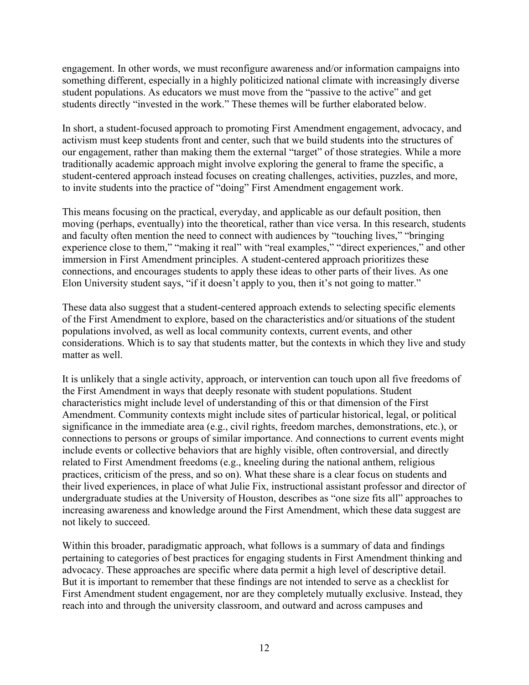engagement. In other words, we must reconfigure awareness and/or information campaigns into something different, especially in a highly politicized national climate with increasingly diverse student populations. As educators we must move from the "passive to the active" and get students directly "invested in the work." These themes will be further elaborated below.

In short, a student-focused approach to promoting First Amendment engagement, advocacy, and activism must keep students front and center, such that we build students into the structures of our engagement, rather than making them the external "target" of those strategies. While a more traditionally academic approach might involve exploring the general to frame the specific, a student-centered approach instead focuses on creating challenges, activities, puzzles, and more, to invite students into the practice of "doing" First Amendment engagement work.

This means focusing on the practical, everyday, and applicable as our default position, then moving (perhaps, eventually) into the theoretical, rather than vice versa. In this research, students and faculty often mention the need to connect with audiences by "touching lives," "bringing experience close to them," "making it real" with "real examples," "direct experiences," and other immersion in First Amendment principles. A student-centered approach prioritizes these connections, and encourages students to apply these ideas to other parts of their lives. As one Elon University student says, "if it doesn't apply to you, then it's not going to matter."

These data also suggest that a student-centered approach extends to selecting specific elements of the First Amendment to explore, based on the characteristics and/or situations of the student populations involved, as well as local community contexts, current events, and other considerations. Which is to say that students matter, but the contexts in which they live and study matter as well.

It is unlikely that a single activity, approach, or intervention can touch upon all five freedoms of the First Amendment in ways that deeply resonate with student populations. Student characteristics might include level of understanding of this or that dimension of the First Amendment. Community contexts might include sites of particular historical, legal, or political significance in the immediate area (e.g., civil rights, freedom marches, demonstrations, etc.), or connections to persons or groups of similar importance. And connections to current events might include events or collective behaviors that are highly visible, often controversial, and directly related to First Amendment freedoms (e.g., kneeling during the national anthem, religious practices, criticism of the press, and so on). What these share is a clear focus on students and their lived experiences, in place of what Julie Fix, instructional assistant professor and director of undergraduate studies at the University of Houston, describes as "one size fits all" approaches to increasing awareness and knowledge around the First Amendment, which these data suggest are not likely to succeed.

Within this broader, paradigmatic approach, what follows is a summary of data and findings pertaining to categories of best practices for engaging students in First Amendment thinking and advocacy. These approaches are specific where data permit a high level of descriptive detail. But it is important to remember that these findings are not intended to serve as a checklist for First Amendment student engagement, nor are they completely mutually exclusive. Instead, they reach into and through the university classroom, and outward and across campuses and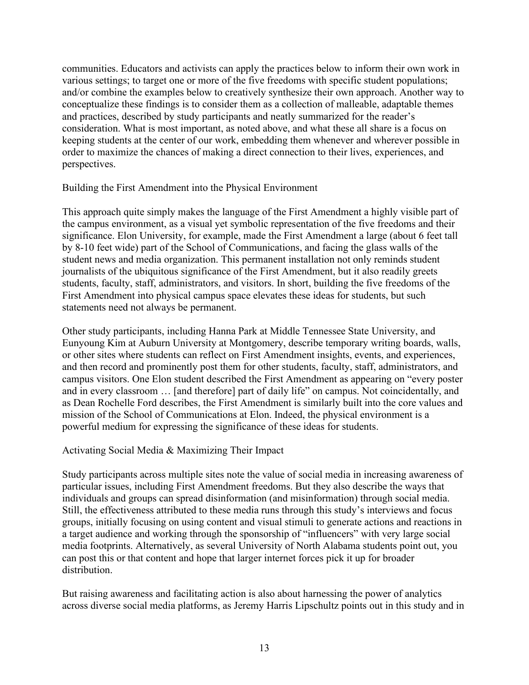communities. Educators and activists can apply the practices below to inform their own work in various settings; to target one or more of the five freedoms with specific student populations; and/or combine the examples below to creatively synthesize their own approach. Another way to conceptualize these findings is to consider them as a collection of malleable, adaptable themes and practices, described by study participants and neatly summarized for the reader's consideration. What is most important, as noted above, and what these all share is a focus on keeping students at the center of our work, embedding them whenever and wherever possible in order to maximize the chances of making a direct connection to their lives, experiences, and perspectives.

## Building the First Amendment into the Physical Environment

This approach quite simply makes the language of the First Amendment a highly visible part of the campus environment, as a visual yet symbolic representation of the five freedoms and their significance. Elon University, for example, made the First Amendment a large (about 6 feet tall by 8-10 feet wide) part of the School of Communications, and facing the glass walls of the student news and media organization. This permanent installation not only reminds student journalists of the ubiquitous significance of the First Amendment, but it also readily greets students, faculty, staff, administrators, and visitors. In short, building the five freedoms of the First Amendment into physical campus space elevates these ideas for students, but such statements need not always be permanent.

Other study participants, including Hanna Park at Middle Tennessee State University, and Eunyoung Kim at Auburn University at Montgomery, describe temporary writing boards, walls, or other sites where students can reflect on First Amendment insights, events, and experiences, and then record and prominently post them for other students, faculty, staff, administrators, and campus visitors. One Elon student described the First Amendment as appearing on "every poster and in every classroom … [and therefore] part of daily life" on campus. Not coincidentally, and as Dean Rochelle Ford describes, the First Amendment is similarly built into the core values and mission of the School of Communications at Elon. Indeed, the physical environment is a powerful medium for expressing the significance of these ideas for students.

#### Activating Social Media & Maximizing Their Impact

Study participants across multiple sites note the value of social media in increasing awareness of particular issues, including First Amendment freedoms. But they also describe the ways that individuals and groups can spread disinformation (and misinformation) through social media. Still, the effectiveness attributed to these media runs through this study's interviews and focus groups, initially focusing on using content and visual stimuli to generate actions and reactions in a target audience and working through the sponsorship of "influencers" with very large social media footprints. Alternatively, as several University of North Alabama students point out, you can post this or that content and hope that larger internet forces pick it up for broader distribution.

But raising awareness and facilitating action is also about harnessing the power of analytics across diverse social media platforms, as Jeremy Harris Lipschultz points out in this study and in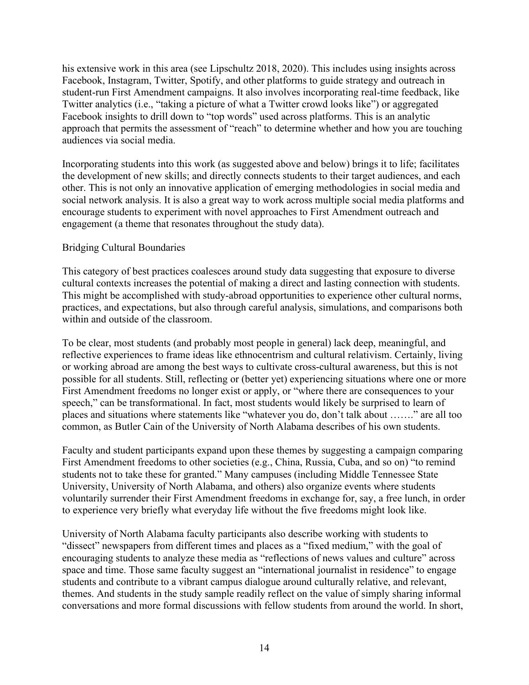his extensive work in this area (see Lipschultz 2018, 2020). This includes using insights across Facebook, Instagram, Twitter, Spotify, and other platforms to guide strategy and outreach in student-run First Amendment campaigns. It also involves incorporating real-time feedback, like Twitter analytics (i.e., "taking a picture of what a Twitter crowd looks like") or aggregated Facebook insights to drill down to "top words" used across platforms. This is an analytic approach that permits the assessment of "reach" to determine whether and how you are touching audiences via social media.

Incorporating students into this work (as suggested above and below) brings it to life; facilitates the development of new skills; and directly connects students to their target audiences, and each other. This is not only an innovative application of emerging methodologies in social media and social network analysis. It is also a great way to work across multiple social media platforms and encourage students to experiment with novel approaches to First Amendment outreach and engagement (a theme that resonates throughout the study data).

#### Bridging Cultural Boundaries

This category of best practices coalesces around study data suggesting that exposure to diverse cultural contexts increases the potential of making a direct and lasting connection with students. This might be accomplished with study-abroad opportunities to experience other cultural norms, practices, and expectations, but also through careful analysis, simulations, and comparisons both within and outside of the classroom.

To be clear, most students (and probably most people in general) lack deep, meaningful, and reflective experiences to frame ideas like ethnocentrism and cultural relativism. Certainly, living or working abroad are among the best ways to cultivate cross-cultural awareness, but this is not possible for all students. Still, reflecting or (better yet) experiencing situations where one or more First Amendment freedoms no longer exist or apply, or "where there are consequences to your speech," can be transformational. In fact, most students would likely be surprised to learn of places and situations where statements like "whatever you do, don't talk about ……." are all too common, as Butler Cain of the University of North Alabama describes of his own students.

Faculty and student participants expand upon these themes by suggesting a campaign comparing First Amendment freedoms to other societies (e.g., China, Russia, Cuba, and so on) "to remind students not to take these for granted." Many campuses (including Middle Tennessee State University, University of North Alabama, and others) also organize events where students voluntarily surrender their First Amendment freedoms in exchange for, say, a free lunch, in order to experience very briefly what everyday life without the five freedoms might look like.

University of North Alabama faculty participants also describe working with students to "dissect" newspapers from different times and places as a "fixed medium," with the goal of encouraging students to analyze these media as "reflections of news values and culture" across space and time. Those same faculty suggest an "international journalist in residence" to engage students and contribute to a vibrant campus dialogue around culturally relative, and relevant, themes. And students in the study sample readily reflect on the value of simply sharing informal conversations and more formal discussions with fellow students from around the world. In short,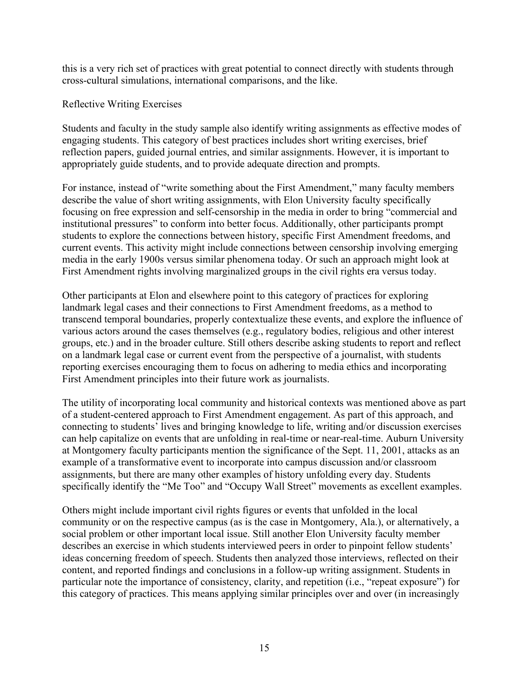this is a very rich set of practices with great potential to connect directly with students through cross-cultural simulations, international comparisons, and the like.

## Reflective Writing Exercises

Students and faculty in the study sample also identify writing assignments as effective modes of engaging students. This category of best practices includes short writing exercises, brief reflection papers, guided journal entries, and similar assignments. However, it is important to appropriately guide students, and to provide adequate direction and prompts.

For instance, instead of "write something about the First Amendment," many faculty members describe the value of short writing assignments, with Elon University faculty specifically focusing on free expression and self-censorship in the media in order to bring "commercial and institutional pressures" to conform into better focus. Additionally, other participants prompt students to explore the connections between history, specific First Amendment freedoms, and current events. This activity might include connections between censorship involving emerging media in the early 1900s versus similar phenomena today. Or such an approach might look at First Amendment rights involving marginalized groups in the civil rights era versus today.

Other participants at Elon and elsewhere point to this category of practices for exploring landmark legal cases and their connections to First Amendment freedoms, as a method to transcend temporal boundaries, properly contextualize these events, and explore the influence of various actors around the cases themselves (e.g., regulatory bodies, religious and other interest groups, etc.) and in the broader culture. Still others describe asking students to report and reflect on a landmark legal case or current event from the perspective of a journalist, with students reporting exercises encouraging them to focus on adhering to media ethics and incorporating First Amendment principles into their future work as journalists.

The utility of incorporating local community and historical contexts was mentioned above as part of a student-centered approach to First Amendment engagement. As part of this approach, and connecting to students' lives and bringing knowledge to life, writing and/or discussion exercises can help capitalize on events that are unfolding in real-time or near-real-time. Auburn University at Montgomery faculty participants mention the significance of the Sept. 11, 2001, attacks as an example of a transformative event to incorporate into campus discussion and/or classroom assignments, but there are many other examples of history unfolding every day. Students specifically identify the "Me Too" and "Occupy Wall Street" movements as excellent examples.

Others might include important civil rights figures or events that unfolded in the local community or on the respective campus (as is the case in Montgomery, Ala.), or alternatively, a social problem or other important local issue. Still another Elon University faculty member describes an exercise in which students interviewed peers in order to pinpoint fellow students' ideas concerning freedom of speech. Students then analyzed those interviews, reflected on their content, and reported findings and conclusions in a follow-up writing assignment. Students in particular note the importance of consistency, clarity, and repetition (i.e., "repeat exposure") for this category of practices. This means applying similar principles over and over (in increasingly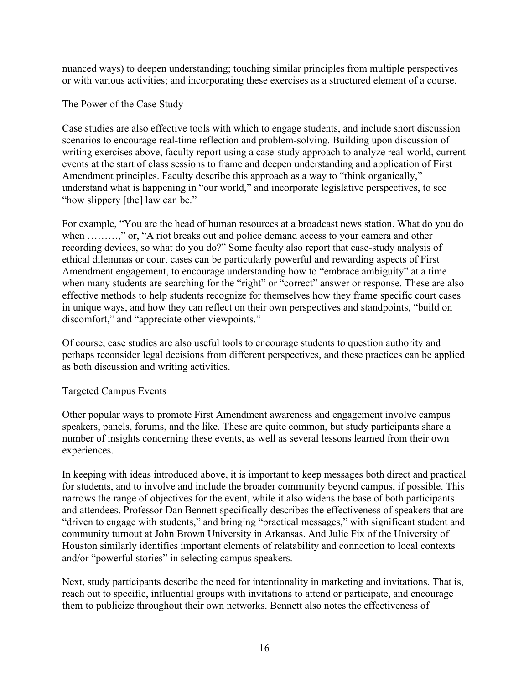nuanced ways) to deepen understanding; touching similar principles from multiple perspectives or with various activities; and incorporating these exercises as a structured element of a course.

The Power of the Case Study

Case studies are also effective tools with which to engage students, and include short discussion scenarios to encourage real-time reflection and problem-solving. Building upon discussion of writing exercises above, faculty report using a case-study approach to analyze real-world, current events at the start of class sessions to frame and deepen understanding and application of First Amendment principles. Faculty describe this approach as a way to "think organically," understand what is happening in "our world," and incorporate legislative perspectives, to see "how slippery [the] law can be."

For example, "You are the head of human resources at a broadcast news station. What do you do when .........," or, "A riot breaks out and police demand access to your camera and other recording devices, so what do you do?" Some faculty also report that case-study analysis of ethical dilemmas or court cases can be particularly powerful and rewarding aspects of First Amendment engagement, to encourage understanding how to "embrace ambiguity" at a time when many students are searching for the "right" or "correct" answer or response. These are also effective methods to help students recognize for themselves how they frame specific court cases in unique ways, and how they can reflect on their own perspectives and standpoints, "build on discomfort," and "appreciate other viewpoints."

Of course, case studies are also useful tools to encourage students to question authority and perhaps reconsider legal decisions from different perspectives, and these practices can be applied as both discussion and writing activities.

# Targeted Campus Events

Other popular ways to promote First Amendment awareness and engagement involve campus speakers, panels, forums, and the like. These are quite common, but study participants share a number of insights concerning these events, as well as several lessons learned from their own experiences.

In keeping with ideas introduced above, it is important to keep messages both direct and practical for students, and to involve and include the broader community beyond campus, if possible. This narrows the range of objectives for the event, while it also widens the base of both participants and attendees. Professor Dan Bennett specifically describes the effectiveness of speakers that are "driven to engage with students," and bringing "practical messages," with significant student and community turnout at John Brown University in Arkansas. And Julie Fix of the University of Houston similarly identifies important elements of relatability and connection to local contexts and/or "powerful stories" in selecting campus speakers.

Next, study participants describe the need for intentionality in marketing and invitations. That is, reach out to specific, influential groups with invitations to attend or participate, and encourage them to publicize throughout their own networks. Bennett also notes the effectiveness of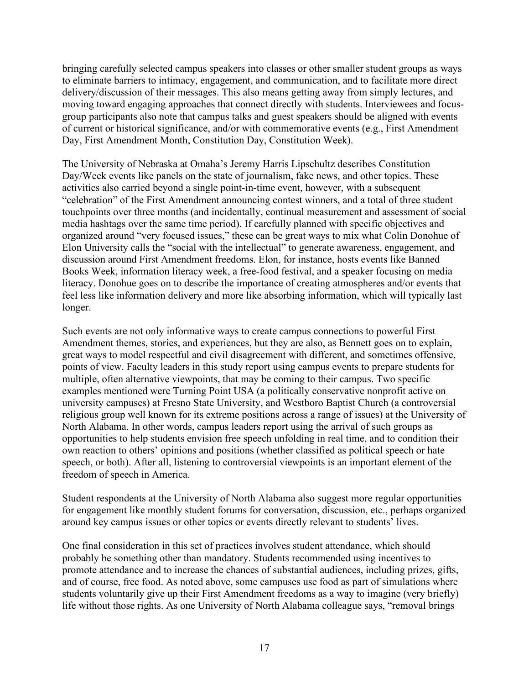bringing carefully selected campus speakers into classes or other smaller student groups as ways to eliminate barriers to intimacy, engagement, and communication, and to facilitate more direct delivery/discussion of their messages. This also means getting away from simply lectures, and moving toward engaging approaches that connect directly with students. Interviewees and focusgroup participants also note that campus talks and guest speakers should be aligned with events of current or historical significance, and/or with commemorative events (e.g., First Amendment Day, First Amendment Month, Constitution Day, Constitution Week).

The University of Nebraska at Omaha's Jeremy Harris Lipschultz describes Constitution Day/Week events like panels on the state of journalism, fake news, and other topics. These activities also carried beyond a single point-in-time event, however, with a subsequent "celebration" of the First Amendment announcing contest winners, and a total of three student touchpoints over three months (and incidentally, continual measurement and assessment of social media hashtags over the same time period). If carefully planned with specific objectives and organized around "very focused issues," these can be great ways to mix what Colin Donohue of Elon University calls the "social with the intellectual" to generate awareness, engagement, and discussion around First Amendment freedoms. Elon, for instance, hosts events like Banned Books Week, information literacy week, a free-food festival, and a speaker focusing on media literacy. Donohue goes on to describe the importance of creating atmospheres and/or events that feel less like information delivery and more like absorbing information, which will typically last longer.

Such events are not only informative ways to create campus connections to powerful First Amendment themes, stories, and experiences, but they are also, as Bennett goes on to explain, great ways to model respectful and civil disagreement with different, and sometimes offensive, points of view. Faculty leaders in this study report using campus events to prepare students for multiple, often alternative viewpoints, that may be coming to their campus. Two specific examples mentioned were Turning Point USA (a politically conservative nonprofit active on university campuses) at Fresno State University, and Westboro Baptist Church (a controversial religious group well known for its extreme positions across a range of issues) at the University of North Alabama. In other words, campus leaders report using the arrival of such groups as opportunities to help students envision free speech unfolding in real time, and to condition their own reaction to others' opinions and positions (whether classified as political speech or hate speech, or both). After all, listening to controversial viewpoints is an important element of the freedom of speech in America.

Student respondents at the University of North Alabama also suggest more regular opportunities for engagement like monthly student forums for conversation, discussion, etc., perhaps organized around key campus issues or other topics or events directly relevant to students' lives.

One final consideration in this set of practices involves student attendance, which should probably be something other than mandatory. Students recommended using incentives to promote attendance and to increase the chances of substantial audiences, including prizes, gifts, and of course, free food. As noted above, some campuses use food as part of simulations where students voluntarily give up their First Amendment freedoms as a way to imagine (very briefly) life without those rights. As one University of North Alabama colleague says, "removal brings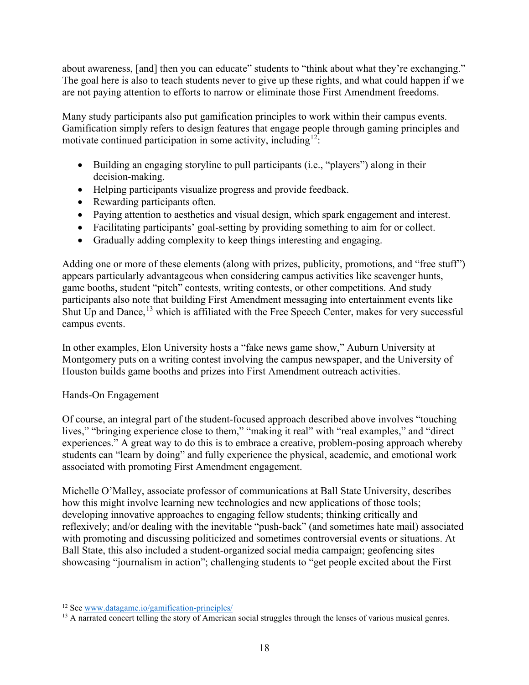about awareness, [and] then you can educate" students to "think about what they're exchanging." The goal here is also to teach students never to give up these rights, and what could happen if we are not paying attention to efforts to narrow or eliminate those First Amendment freedoms.

Many study participants also put gamification principles to work within their campus events. Gamification simply refers to design features that engage people through gaming principles and motivate continued participation in some activity, including  $12$ :

- Building an engaging storyline to pull participants (i.e., "players") along in their decision-making.
- Helping participants visualize progress and provide feedback.
- Rewarding participants often.
- Paying attention to aesthetics and visual design, which spark engagement and interest.
- Facilitating participants' goal-setting by providing something to aim for or collect.
- Gradually adding complexity to keep things interesting and engaging.

Adding one or more of these elements (along with prizes, publicity, promotions, and "free stuff") appears particularly advantageous when considering campus activities like scavenger hunts, game booths, student "pitch" contests, writing contests, or other competitions. And study participants also note that buil[di](#page-18-2)ng First Amendment messaging into entertainment events like Shut Up and Dance,<sup>[13](#page-18-1)</sup> which is affiliated with the Free Speech Center, makes for very successful campus events.

In other examples, Elon University hosts a "fake news game show," Auburn University at Montgomery puts on a writing contest involving the campus newspaper, and the University of Houston builds game booths and prizes into First Amendment outreach activities.

# Hands-On Engagement

Of course, an integral part of the student-focused approach described above involves "touching lives," "bringing experience close to them," "making it real" with "real examples," and "direct experiences." A great way to do this is to embrace a creative, problem-posing approach whereby students can "learn by doing" and fully experience the physical, academic, and emotional work associated with promoting First Amendment engagement.

Michelle O'Malley, associate professor of communications at Ball State University, describes how this might involve learning new technologies and new applications of those tools; developing innovative approaches to engaging fellow students; thinking critically and reflexively; and/or dealing with the inevitable "push-back" (and sometimes hate mail) associated with promoting and discussing politicized and sometimes controversial events or situations. At Ball State, this also included a student-organized social media campaign; geofencing sites showcasing "journalism in action"; challenging students to "get people excited about the First

<span id="page-18-1"></span><span id="page-18-0"></span><sup>12</sup> See [www.datagame.io/gamification-principles/](http://www.datagame.io/gamification-principles/)

<span id="page-18-2"></span><sup>&</sup>lt;sup>13</sup> A narrated concert telling the story of American social struggles through the lenses of various musical genres.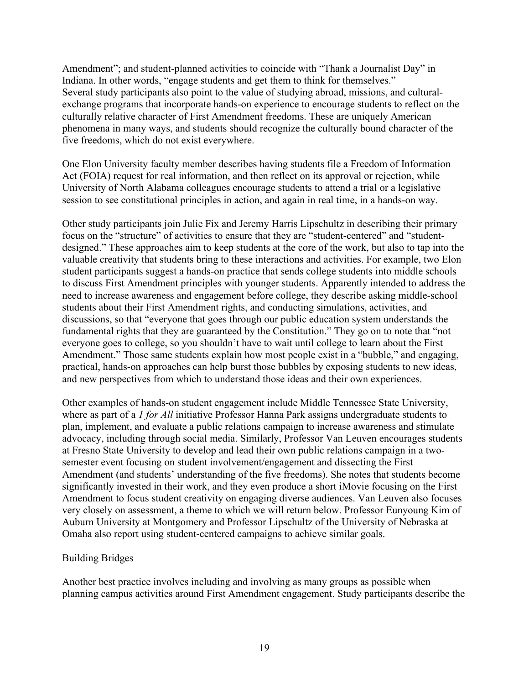Amendment"; and student-planned activities to coincide with "Thank a Journalist Day" in Indiana. In other words, "engage students and get them to think for themselves." Several study participants also point to the value of studying abroad, missions, and culturalexchange programs that incorporate hands-on experience to encourage students to reflect on the culturally relative character of First Amendment freedoms. These are uniquely American phenomena in many ways, and students should recognize the culturally bound character of the five freedoms, which do not exist everywhere.

One Elon University faculty member describes having students file a Freedom of Information Act (FOIA) request for real information, and then reflect on its approval or rejection, while University of North Alabama colleagues encourage students to attend a trial or a legislative session to see constitutional principles in action, and again in real time, in a hands-on way.

Other study participants join Julie Fix and Jeremy Harris Lipschultz in describing their primary focus on the "structure" of activities to ensure that they are "student-centered" and "studentdesigned." These approaches aim to keep students at the core of the work, but also to tap into the valuable creativity that students bring to these interactions and activities. For example, two Elon student participants suggest a hands-on practice that sends college students into middle schools to discuss First Amendment principles with younger students. Apparently intended to address the need to increase awareness and engagement before college, they describe asking middle-school students about their First Amendment rights, and conducting simulations, activities, and discussions, so that "everyone that goes through our public education system understands the fundamental rights that they are guaranteed by the Constitution." They go on to note that "not everyone goes to college, so you shouldn't have to wait until college to learn about the First Amendment." Those same students explain how most people exist in a "bubble," and engaging, practical, hands-on approaches can help burst those bubbles by exposing students to new ideas, and new perspectives from which to understand those ideas and their own experiences.

Other examples of hands-on student engagement include Middle Tennessee State University, where as part of a *1 for All* initiative Professor Hanna Park assigns undergraduate students to plan, implement, and evaluate a public relations campaign to increase awareness and stimulate advocacy, including through social media. Similarly, Professor Van Leuven encourages students at Fresno State University to develop and lead their own public relations campaign in a twosemester event focusing on student involvement/engagement and dissecting the First Amendment (and students' understanding of the five freedoms). She notes that students become significantly invested in their work, and they even produce a short iMovie focusing on the First Amendment to focus student creativity on engaging diverse audiences. Van Leuven also focuses very closely on assessment, a theme to which we will return below. Professor Eunyoung Kim of Auburn University at Montgomery and Professor Lipschultz of the University of Nebraska at Omaha also report using student-centered campaigns to achieve similar goals.

#### Building Bridges

Another best practice involves including and involving as many groups as possible when planning campus activities around First Amendment engagement. Study participants describe the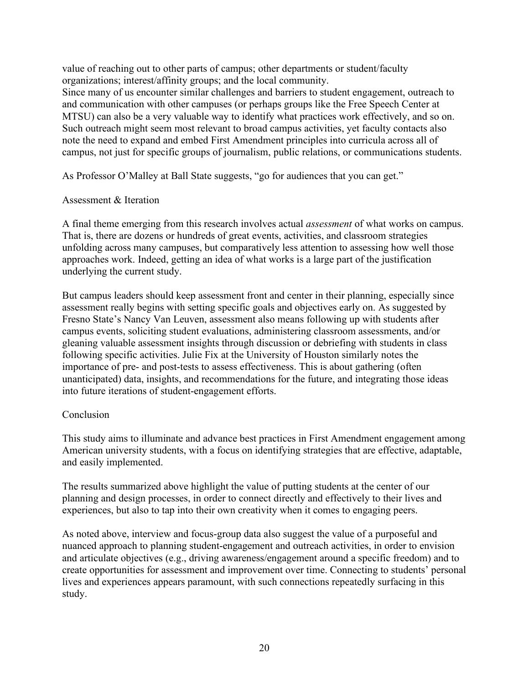value of reaching out to other parts of campus; other departments or student/faculty organizations; interest/affinity groups; and the local community.

Since many of us encounter similar challenges and barriers to student engagement, outreach to and communication with other campuses (or perhaps groups like the Free Speech Center at MTSU) can also be a very valuable way to identify what practices work effectively, and so on. Such outreach might seem most relevant to broad campus activities, yet faculty contacts also note the need to expand and embed First Amendment principles into curricula across all of campus, not just for specific groups of journalism, public relations, or communications students.

As Professor O'Malley at Ball State suggests, "go for audiences that you can get."

## Assessment & Iteration

A final theme emerging from this research involves actual *assessment* of what works on campus. That is, there are dozens or hundreds of great events, activities, and classroom strategies unfolding across many campuses, but comparatively less attention to assessing how well those approaches work. Indeed, getting an idea of what works is a large part of the justification underlying the current study.

But campus leaders should keep assessment front and center in their planning, especially since assessment really begins with setting specific goals and objectives early on. As suggested by Fresno State's Nancy Van Leuven, assessment also means following up with students after campus events, soliciting student evaluations, administering classroom assessments, and/or gleaning valuable assessment insights through discussion or debriefing with students in class following specific activities. Julie Fix at the University of Houston similarly notes the importance of pre- and post-tests to assess effectiveness. This is about gathering (often unanticipated) data, insights, and recommendations for the future, and integrating those ideas into future iterations of student-engagement efforts.

#### Conclusion

This study aims to illuminate and advance best practices in First Amendment engagement among American university students, with a focus on identifying strategies that are effective, adaptable, and easily implemented.

The results summarized above highlight the value of putting students at the center of our planning and design processes, in order to connect directly and effectively to their lives and experiences, but also to tap into their own creativity when it comes to engaging peers.

As noted above, interview and focus-group data also suggest the value of a purposeful and nuanced approach to planning student-engagement and outreach activities, in order to envision and articulate objectives (e.g., driving awareness/engagement around a specific freedom) and to create opportunities for assessment and improvement over time. Connecting to students' personal lives and experiences appears paramount, with such connections repeatedly surfacing in this study.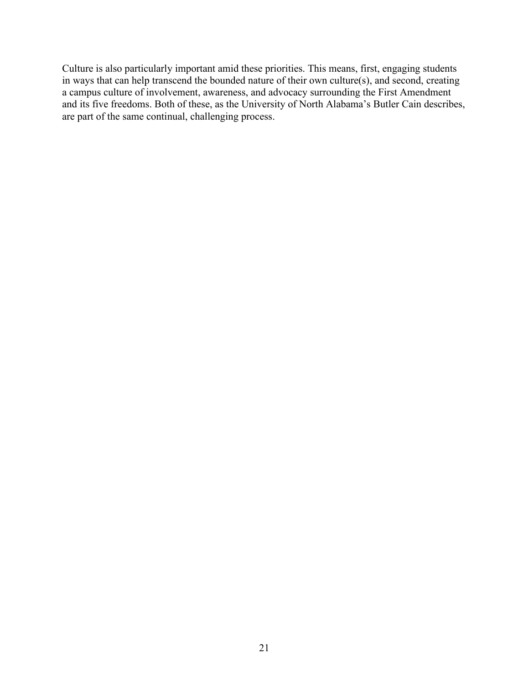Culture is also particularly important amid these priorities. This means, first, engaging students in ways that can help transcend the bounded nature of their own culture(s), and second, creating a campus culture of involvement, awareness, and advocacy surrounding the First Amendment and its five freedoms. Both of these, as the University of North Alabama's Butler Cain describes, are part of the same continual, challenging process.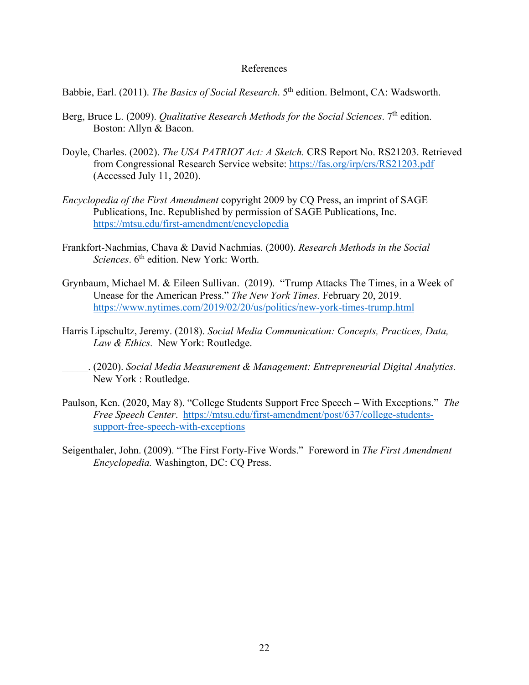#### References

Babbie, Earl. (2011). *The Basics of Social Research*. 5th edition. Belmont, CA: Wadsworth.

- Berg, Bruce L. (2009). *Qualitative Research Methods for the Social Sciences*. 7<sup>th</sup> edition. Boston: Allyn & Bacon.
- Doyle, Charles. (2002). *The USA PATRIOT Act: A Sketch.* CRS Report No. RS21203. Retrieved from Congressional Research Service website: <https://fas.org/irp/crs/RS21203.pdf> (Accessed July 11, 2020).
- *Encyclopedia of the First Amendment* copyright 2009 by CQ Press, an imprint of SAGE Publications, Inc. Republished by permission of SAGE Publications, Inc. <https://mtsu.edu/first-amendment/encyclopedia>
- Frankfort-Nachmias, Chava & David Nachmias. (2000). *Research Methods in the Social Sciences*. 6<sup>th</sup> edition. New York: Worth.
- Grynbaum, Michael M. & Eileen Sullivan. (2019). "Trump Attacks The Times, in a Week of Unease for the American Press." *The New York Times*. February 20, 2019. <https://www.nytimes.com/2019/02/20/us/politics/new-york-times-trump.html>
- Harris Lipschultz, Jeremy. (2018). *Social Media Communication: Concepts, Practices, Data, Law & Ethics.* New York: Routledge.
- \_\_\_\_\_. (2020). *Social Media Measurement & Management: Entrepreneurial Digital Analytics.*  New York : Routledge.
- Paulson, Ken. (2020, May 8). "College Students Support Free Speech With Exceptions." *The Free Speech Center*. [https://mtsu.edu/first-amendment/post/637/college-students](https://mtsu.edu/first-amendment/post/637/college-students-support-free-speech-with-exceptions)[support-free-speech-with-exceptions](https://mtsu.edu/first-amendment/post/637/college-students-support-free-speech-with-exceptions)
- Seigenthaler, John. (2009). "The First Forty-Five Words." Foreword in *The First Amendment Encyclopedia.* Washington, DC: CQ Press.